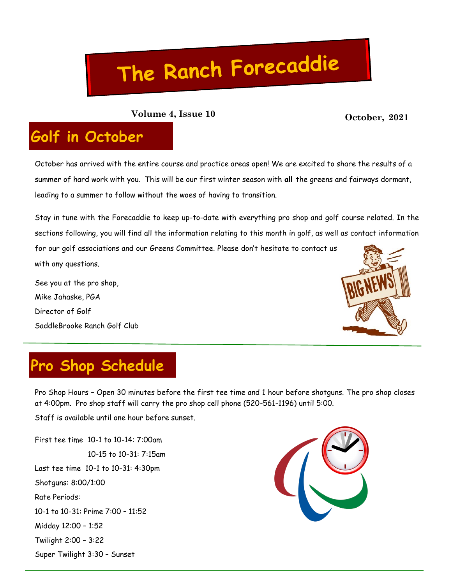# The Ranch Forecaddie

**October, 2021 Volume 4, Issue 10**

### **Golf in October**

October has arrived with the entire course and practice areas open! We are excited to share the results of a summer of hard work with you. This will be our first winter season with **all** the greens and fairways dormant, leading to a summer to follow without the woes of having to transition.

Stay in tune with the Forecaddie to keep up-to-date with everything pro shop and golf course related. In the sections following, you will find all the information relating to this month in golf, as well as contact information

for our golf associations and our Greens Committee. Please don't hesitate to contact us with any questions.

See you at the pro shop, Mike Jahaske, PGA Director of Golf SaddleBrooke Ranch Golf Club



## **Pro Shop Schedule**

Pro Shop Hours – Open 30 minutes before the first tee time and 1 hour before shotguns. The pro shop closes at 4:00pm. Pro shop staff will carry the pro shop cell phone (520-561-1196) until 5:00.

Staff is available until one hour before sunset.

First tee time 10-1 to 10-14: 7:00am 10-15 to 10-31: 7:15am Last tee time 10-1 to 10-31: 4:30pm Shotguns: 8:00/1:00 Rate Periods: 10-1 to 10-31: Prime 7:00 – 11:52 Midday 12:00 – 1:52 Twilight 2:00 – 3:22 Super Twilight 3:30 – Sunset

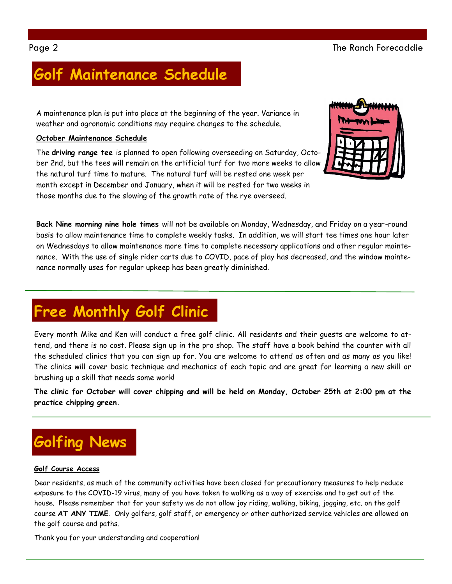### **Golf Maintenance Schedule**

A maintenance plan is put into place at the beginning of the year. Variance in weather and agronomic conditions may require changes to the schedule.

### **October Maintenance Schedule**

The **driving range tee** is planned to open following overseeding on Saturday, October 2nd, but the tees will remain on the artificial turf for two more weeks to allow the natural turf time to mature. The natural turf will be rested one week per month except in December and January, when it will be rested for two weeks in those months due to the slowing of the growth rate of the rye overseed.



**Back Nine morning nine hole times** will not be available on Monday, Wednesday, and Friday on a year-round basis to allow maintenance time to complete weekly tasks. In addition, we will start tee times one hour later on Wednesdays to allow maintenance more time to complete necessary applications and other regular maintenance. With the use of single rider carts due to COVID, pace of play has decreased, and the window maintenance normally uses for regular upkeep has been greatly diminished.

### **Free Monthly Golf Clinic**

Every month Mike and Ken will conduct a free golf clinic. All residents and their guests are welcome to attend, and there is no cost. Please sign up in the pro shop. The staff have a book behind the counter with all the scheduled clinics that you can sign up for. You are welcome to attend as often and as many as you like! The clinics will cover basic technique and mechanics of each topic and are great for learning a new skill or brushing up a skill that needs some work!

**The clinic for October will cover chipping and will be held on Monday, October 25th at 2:00 pm at the practice chipping green.** 

### **Golfing News**

#### **Golf Course Access**

Dear residents, as much of the community activities have been closed for precautionary measures to help reduce exposure to the COVID-19 virus, many of you have taken to walking as a way of exercise and to get out of the house. Please remember that for your safety we do not allow joy riding, walking, biking, jogging, etc. on the golf course **AT ANY TIME**. Only golfers, golf staff, or emergency or other authorized service vehicles are allowed on the golf course and paths.

Thank you for your understanding and cooperation!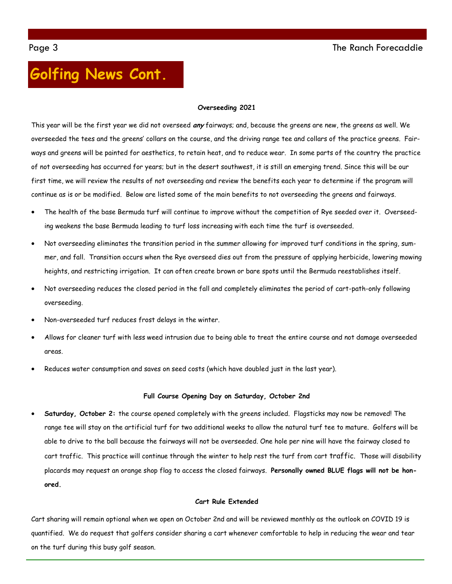### **Golfing News Cont.**

#### **Overseeding 2021**

This year will be the first year we did not overseed **any** fairways; and, because the greens are new, the greens as well. We overseeded the tees and the greens' collars on the course, and the driving range tee and collars of the practice greens. Fairways and greens will be painted for aesthetics, to retain heat, and to reduce wear. In some parts of the country the practice of not overseeding has occurred for years; but in the desert southwest, it is still an emerging trend. Since this will be our first time, we will review the results of not overseeding and review the benefits each year to determine if the program will continue as is or be modified. Below are listed some of the main benefits to not overseeding the greens and fairways.

- The health of the base Bermuda turf will continue to improve without the competition of Rye seeded over it. Overseeding weakens the base Bermuda leading to turf loss increasing with each time the turf is overseeded.
- Not overseeding eliminates the transition period in the summer allowing for improved turf conditions in the spring, summer, and fall. Transition occurs when the Rye overseed dies out from the pressure of applying herbicide, lowering mowing heights, and restricting irrigation. It can often create brown or bare spots until the Bermuda reestablishes itself.
- Not overseeding reduces the closed period in the fall and completely eliminates the period of cart-path-only following overseeding.
- Non-overseeded turf reduces frost delays in the winter.
- Allows for cleaner turf with less weed intrusion due to being able to treat the entire course and not damage overseeded areas.
- Reduces water consumption and saves on seed costs (which have doubled just in the last year).

#### **Full Course Opening Day on Saturday, October 2nd**

 **Saturday, October 2:** the course opened completely with the greens included. Flagsticks may now be removed! The range tee will stay on the artificial turf for two additional weeks to allow the natural turf tee to mature. Golfers will be able to drive to the ball because the fairways will not be overseeded. One hole per nine will have the fairway closed to cart traffic. This practice will continue through the winter to help rest the turf from cart traffic. Those will disability placards may request an orange shop flag to access the closed fairways. **Personally owned BLUE flags will not be honored.**

#### **Cart Rule Extended**

Cart sharing will remain optional when we open on October 2nd and will be reviewed monthly as the outlook on COVID 19 is quantified. We do request that golfers consider sharing a cart whenever comfortable to help in reducing the wear and tear on the turf during this busy golf season.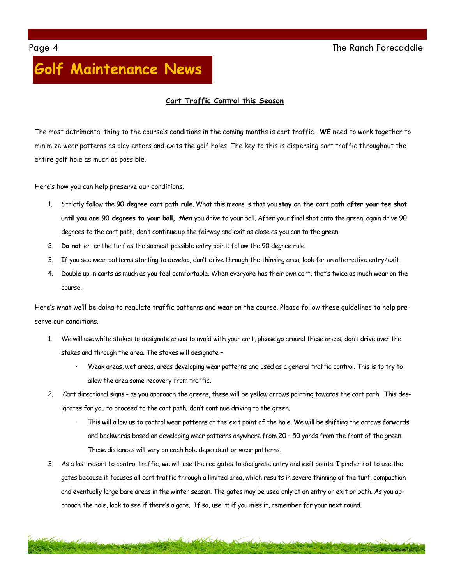### **Golf Maintenance News**

#### **Cart Traffic Control this Season**

The most detrimental thing to the course's conditions in the coming months is cart traffic. **WE** need to work together to minimize wear patterns as play enters and exits the golf holes. The key to this is dispersing cart traffic throughout the entire golf hole as much as possible.

Here's how you can help preserve our conditions.

- 1. Strictly follow the **90 degree cart path rule**. What this means is that you **stay on the cart path after your tee shot until you are 90 degrees to your ball, then** you drive to your ball. After your final shot onto the green, again drive 90 degrees to the cart path; don't continue up the fairway and exit as close as you can to the green.
- 2. **Do not** enter the turf as the soonest possible entry point; follow the 90 degree rule.
- 3. If you see wear patterns starting to develop, don't drive through the thinning area; look for an alternative entry/exit.
- 4. Double up in carts as much as you feel comfortable. When everyone has their own cart, that's twice as much wear on the course.

Here's what we'll be doing to regulate traffic patterns and wear on the course. Please follow these guidelines to help preserve our conditions.

- 1. We will use white stakes to designate areas to avoid with your cart, please go around these areas; don't drive over the stakes and through the area. The stakes will designate –
	- **·** Weak areas, wet areas, areas developing wear patterns and used as a general traffic control. This is to try to allow the area some recovery from traffic.
- 2. Cart directional signs as you approach the greens, these will be yellow arrows pointing towards the cart path. This designates for you to proceed to the cart path; don't continue driving to the green.
	- **·** This will allow us to control wear patterns at the exit point of the hole. We will be shifting the arrows forwards and backwards based on developing wear patterns anywhere from 20 – 50 yards from the front of the green. These distances will vary on each hole dependent on wear patterns.
- 3. As a last resort to control traffic, we will use the red gates to designate entry and exit points. I prefer not to use the gates because it focuses all cart traffic through a limited area, which results in severe thinning of the turf, compaction and eventually large bare areas in the winter season. The gates may be used only at an entry or exit or both. As you approach the hole, look to see if there's a gate. If so, use it; if you miss it, remember for your next round.